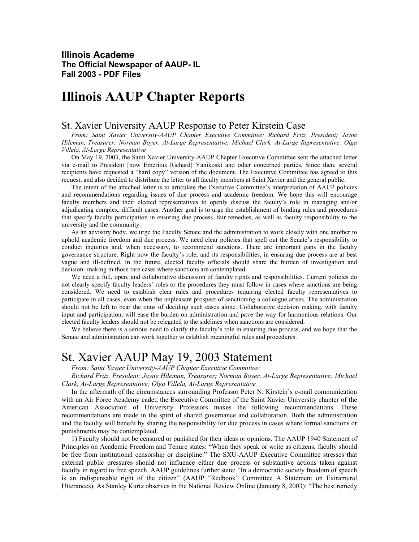**Illinois Academe The Official Newspaper of AAUP- IL Fall 2003 - PDF Files** 

# **Illinois AAUP Chapter Reports**

### St. Xavier University AAUP Response to Peter Kirstein Case

*From: Saint Xavier University-AAUP Chapter Executive Committee: Richard Fritz, President; Jayne Hileman, Treasurer; Norman Boyer, At-Large Representative; Michael Clark, At-Large Representative; Olga Villela, At-Large Representative*

On May 19, 2003, the Saint Xavier University-AAUP Chapter Executive Committee sent the attached letter via e-mail to President [now Emeritus Richard] Yanikoski and other concerned parties. Since then, several recipients have requested a "hard copy" version of the document. The Executive Committee has agreed to this request, and also decided to distribute the letter to all faculty members at Saint Xavier and the general public.

The intent of the attached letter is to articulate the Executive Committee's interpretation of AAUP policies and recommendations regarding issues of due process and academic freedom. We hope this will encourage faculty members and their elected representatives to openly discuss the faculty's role in managing and/or adjudicating complex, difficult cases. Another goal is to urge the establishment of binding rules and procedures that specify faculty participation in ensuring due process, fair remedies, as well as faculty responsibility to the university and the community.

As an advisory body, we urge the Faculty Senate and the administration to work closely with one another to uphold academic freedom and due process. We need clear policies that spell out the Senate's responsibility to conduct inquiries and, when necessary, to recommend sanctions. There are important gaps in the faculty governance structure. Right now the faculty's role, and its responsibilities, in ensuring due process are at best vague and ill-defined. In the future, elected faculty officials should share the burden of investigation and decision- making in those rare cases where sanctions are contemplated.

We need a full, open, and collaborative discussion of faculty rights and responsibilities. Current policies do not clearly specify faculty leaders' roles or the procedures they must follow in cases where sanctions are being considered. We need to establish clear rules and procedures requiring elected faculty representatives to participate in all cases, even when the unpleasant prospect of sanctioning a colleague arises. The administration should not be left to bear the onus of deciding such cases alone. Collaborative decision making, with faculty input and participation, will ease the burden on administration and pave the way for harmonious relations. Our elected faculty leaders should not be relegated to the sidelines when sanctions are considered.

We believe there is a serious need to clarify the faculty's role in ensuring due process, and we hope that the Senate and administration can work together to establish meaningful rules and procedures.

## St. Xavier AAUP May 19, 2003 Statement

*From: Saint Xavier University-AAUP Chapter Executive Committee:* 

*Richard Fritz, President; Jayne Hileman, Treasurer; Norman Boyer, At-Large Representative; Michael Clark, At-Large Representative; Olga Villela, At-Large Representative*

In the aftermath of the circumstances surrounding Professor Peter N. Kirstein's e-mail communication with an Air Force Academy cadet, the Executive Committee of the Saint Xavier University chapter of the American Association of University Professors makes the following recommendations. These recommendations are made in the spirit of shared governance and collaboration. Both the administration and the faculty will benefit by sharing the responsibility for due process in cases where formal sanctions or punishments may be contemplated.

1) Faculty should not be censured or punished for their ideas or opinions. The AAUP 1940 Statement of Principles on Academic Freedom and Tenure states: "When they speak or write as citizens, faculty should be free from institutional censorship or discipline." The SXU-AAUP Executive Committee stresses that external public pressures should not influence either due process or substantive actions taken against faculty in regard to free speech. AAUP guidelines further state: "In a democratic society freedom of speech is an indispensable right of the citizen" (AAUP "Redbook" Committee A Statement on Extramural Utterances). As Stanley Kurtz observes in the National Review Online (January 8, 2003): "The best remedy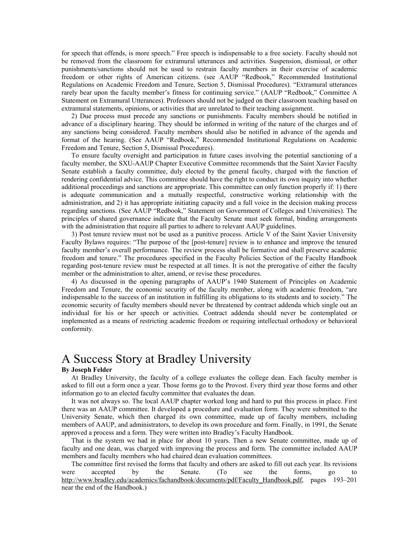for speech that offends, is more speech." Free speech is indispensable to a free society. Faculty should not be removed from the classroom for extramural utterances and activities. Suspension, dismissal, or other punishments/sanctions should not be used to restrain faculty members in their exercise of academic freedom or other rights of American citizens. (see AAUP "Redbook," Recommended Institutional Regulations on Academic Freedom and Tenure, Section 5, Dismissal Procedures). "Extramural utterances rarely bear upon the faculty member's fitness for continuing service." (AAUP "Redbook," Committee A Statement on Extramural Utterances). Professors should not be judged on their classroom teaching based on extramural statements, opinions, or activities that are unrelated to their teaching assignment.

2) Due process must precede any sanctions or punishments. Faculty members should be notified in advance of a disciplinary hearing. They should be informed in writing of the nature of the charges and of any sanctions being considered. Faculty members should also be notified in advance of the agenda and format of the hearing. (See AAUP "Redbook," Recommended Institutional Regulations on Academic Freedom and Tenure, Section 5, Dismissal Procedures).

To ensure faculty oversight and participation in future cases involving the potential sanctioning of a faculty member, the SXU-AAUP Chapter Executive Committee recommends that the Saint Xavier Faculty Senate establish a faculty committee, duly elected by the general faculty, charged with the function of rendering confidential advice. This committee should have the right to conduct its own inquiry into whether additional proceedings and sanctions are appropriate. This committee can only function properly if: 1) there is adequate communication and a mutually respectful, constructive working relationship with the administration, and 2) it has appropriate initiating capacity and a full voice in the decision making process regarding sanctions. (See AAUP "Redbook," Statement on Government of Colleges and Universities). The principles of shared governance indicate that the Faculty Senate must seek formal, binding arrangements with the administration that require all parties to adhere to relevant AAUP guidelines.

3) Post tenure review must not be used as a punitive process. Article V of the Saint Xavier University Faculty Bylaws requires: "The purpose of the [post-tenure] review is to enhance and improve the tenured faculty member's overall performance. The review process shall be formative and shall preserve academic freedom and tenure." The procedures specified in the Faculty Policies Section of the Faculty Handbook regarding post-tenure review must be respected at all times. It is not the prerogative of either the faculty member or the administration to alter, amend, or revise these procedures.

4) As discussed in the opening paragraphs of AAUP's 1940 Statement of Principles on Academic Freedom and Tenure, the economic security of the faculty member, along with academic freedom, "are indispensable to the success of an institution in fulfilling its obligations to its students and to society." The economic security of faculty members should never be threatened by contract addenda which single out an individual for his or her speech or activities. Contract addenda should never be contemplated or implemented as a means of restricting academic freedom or requiring intellectual orthodoxy or behavioral conformity.

## A Success Story at Bradley University

#### **By Joseph Felder**

At Bradley University, the faculty of a college evaluates the college dean. Each faculty member is asked to fill out a form once a year. Those forms go to the Provost. Every third year those forms and other information go to an elected faculty committee that evaluates the dean.

It was not always so. The local AAUP chapter worked long and hard to put this process in place. First there was an AAUP committee. It developed a procedure and evaluation form. They were submitted to the University Senate, which then charged its own committee, made up of faculty members, including members of AAUP, and administrators, to develop its own procedure and form. Finally, in 1991, the Senate approved a process and a form. They were written into Bradley's Faculty Handbook.

That is the system we had in place for about 10 years. Then a new Senate committee, made up of faculty and one dean, was charged with improving the process and form. The committee included AAUP members and faculty members who had chaired dean evaluation committees.

The committee first revised the forms that faculty and others are asked to fill out each year. Its revisions were accepted by the Senate. (To see the forms, go to http://www.bradley.edu/academics/fachandbook/documents/pdf/Faculty\_Handbook.pdf, pages 193–201 near the end of the Handbook.)